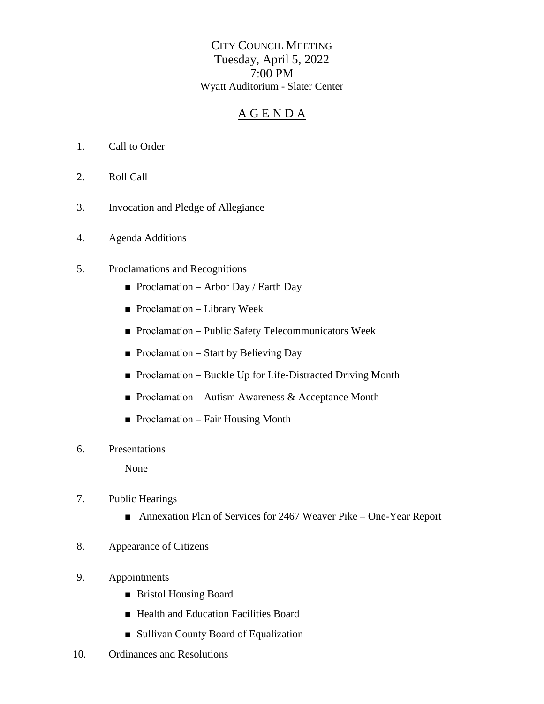CITY COUNCIL MEETING Tuesday, April 5, 2022 7:00 PM Wyatt Auditorium - Slater Center

## A G E N D A

- 1. Call to Order
- 2. Roll Call
- 3. Invocation and Pledge of Allegiance
- 4. Agenda Additions
- 5. Proclamations and Recognitions
	- Proclamation Arbor Day / Earth Day
	- Proclamation Library Week
	- Proclamation Public Safety Telecommunicators Week
	- Proclamation Start by Believing Day
	- Proclamation Buckle Up for Life-Distracted Driving Month
	- Proclamation Autism Awareness  $&$  Acceptance Month
	- Proclamation Fair Housing Month
- 6. Presentations

None

- 7. Public Hearings
	- Annexation Plan of Services for 2467 Weaver Pike One-Year Report
- 8. Appearance of Citizens
- 9. Appointments
	- Bristol Housing Board
	- Health and Education Facilities Board
	- Sullivan County Board of Equalization
- 10. Ordinances and Resolutions